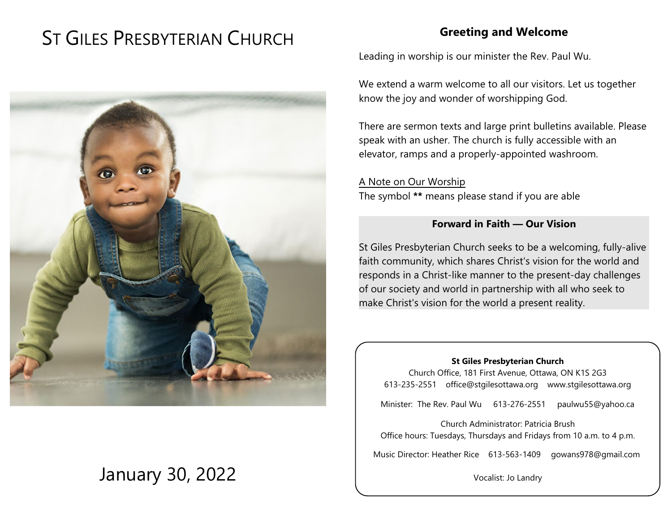# ST GILES PRESBYTERIAN CHURCH



# January 30, 2022

# **Greeting and Welcome**

Leading in worship is our minister the Rev. Paul Wu.

We extend a warm welcome to all our visitors. Let us together know the joy and wonder of worshipping God.

There are sermon texts and large print bulletins available. Please speak with an usher. The church is fully accessible with an elevator, ramps and a properly-appointed washroom.

A Note on Our Worship The symbol **\*\*** means please stand if you are able

### **Forward in Faith — Our Vision**

St Giles Presbyterian Church seeks to be a welcoming, fully-alive faith community, which shares Christ's vision for the world and responds in a Christ-like manner to the present-day challenges of our society and world in partnership with all who seek to make Christ's vision for the world a present reality.

**St Giles Presbyterian Church**

Church Office, 181 First Avenue, Ottawa, ON K1S 2G3 613-235-2551 office@stgilesottawa.org www.stgilesottawa.org

Minister: The Rev. Paul Wu 613-276-2551 paulwu55@yahoo.ca

Church Administrator: Patricia Brush Office hours: Tuesdays, Thursdays and Fridays from 10 a.m. to 4 p.m.

Music Director: Heather Rice 613-563-1409 gowans978@gmail.com

Vocalist: Jo Landry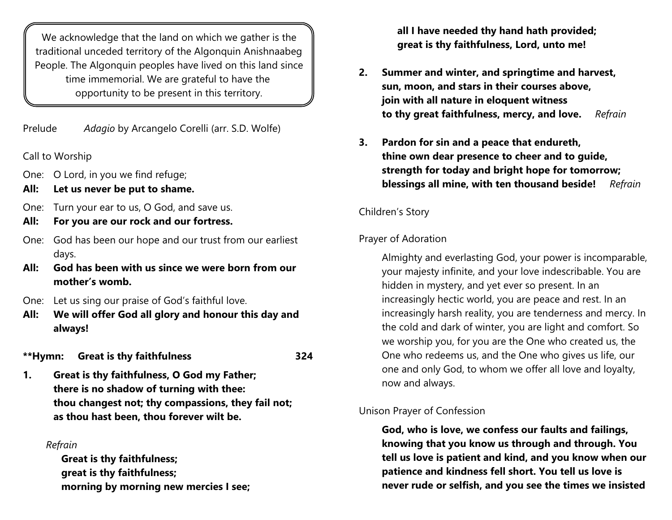We acknowledge that the land on which we gather is the traditional unceded territory of the Algonquin Anishnaabeg People. The Algonquin peoples have lived on this land since time immemorial. We are grateful to have the opportunity to be present in this territory.

Prelude *Adagio* by Arcangelo Corelli (arr. S.D. Wolfe)

Call to Worship

- One: O Lord, in you we find refuge;
- **All: Let us never be put to shame.**
- One: Turn your ear to us, O God, and save us.
- **All: For you are our rock and our fortress.**
- One: God has been our hope and our trust from our earliest days.
- **All: God has been with us since we were born from our mother's womb.**
- One: Let us sing our praise of God's faithful love.
- **All: We will offer God all glory and honour this day and always!**

**\*\*Hymn: Great is thy faithfulness 324**

**1. Great is thy faithfulness, O God my Father; there is no shadow of turning with thee: thou changest not; thy compassions, they fail not; as thou hast been, thou forever wilt be.**

## *Refrain*

**Great is thy faithfulness; great is thy faithfulness; morning by morning new mercies I see;** **all I have needed thy hand hath provided; great is thy faithfulness, Lord, unto me!**

- **2. Summer and winter, and springtime and harvest, sun, moon, and stars in their courses above, join with all nature in eloquent witness to thy great faithfulness, mercy, and love.** *Refrain*
- **3. Pardon for sin and a peace that endureth, thine own dear presence to cheer and to guide, strength for today and bright hope for tomorrow; blessings all mine, with ten thousand beside!** *Refrain*

### Children's Story

# Prayer of Adoration

Almighty and everlasting God, your power is incomparable, your majesty infinite, and your love indescribable. You are hidden in mystery, and yet ever so present. In an increasingly hectic world, you are peace and rest. In an increasingly harsh reality, you are tenderness and mercy. In the cold and dark of winter, you are light and comfort. So we worship you, for you are the One who created us, the One who redeems us, and the One who gives us life, our one and only God, to whom we offer all love and loyalty, now and always.

# Unison Prayer of Confession

**God, who is love, we confess our faults and failings, knowing that you know us through and through. You tell us love is patient and kind, and you know when our patience and kindness fell short. You tell us love is never rude or selfish, and you see the times we insisted**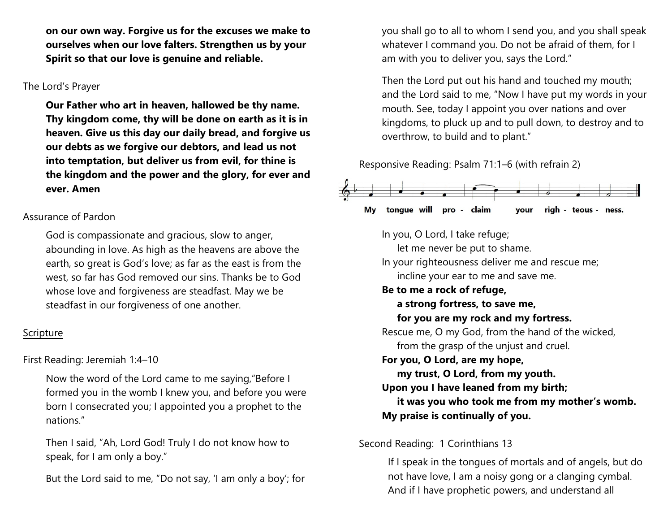**on our own way. Forgive us for the excuses we make to ourselves when our love falters. Strengthen us by your Spirit so that our love is genuine and reliable.**

#### The Lord's Prayer

**Our Father who art in heaven, hallowed be thy name. Thy kingdom come, thy will be done on earth as it is in heaven. Give us this day our daily bread, and forgive us our debts as we forgive our debtors, and lead us not into temptation, but deliver us from evil, for thine is the kingdom and the power and the glory, for ever and ever. Amen**

#### Assurance of Pardon

God is compassionate and gracious, slow to anger, abounding in love. As high as the heavens are above the earth, so great is God's love; as far as the east is from the west, so far has God removed our sins. Thanks be to God whose love and forgiveness are steadfast. May we be steadfast in our forgiveness of one another.

#### Scripture

First Reading: Jeremiah 1:4–10

Now the word of the Lord came to me saying,"Before I formed you in the womb I knew you, and before you were born I consecrated you; I appointed you a prophet to the nations."

Then I said, "Ah, Lord God! Truly I do not know how to speak, for I am only a boy."

But the Lord said to me, "Do not say, 'I am only a boy'; for

you shall go to all to whom I send you, and you shall speak whatever I command you. Do not be afraid of them, for I am with you to deliver you, says the Lord."

Then the Lord put out his hand and touched my mouth; and the Lord said to me, "Now I have put my words in your mouth. See, today I appoint you over nations and over kingdoms, to pluck up and to pull down, to destroy and to overthrow, to build and to plant."

Responsive Reading: Psalm 71:1–6 (with refrain 2)



In you, O Lord, I take refuge;

let me never be put to shame.

In your righteousness deliver me and rescue me; incline your ear to me and save me.

#### **Be to me a rock of refuge,**

**a strong fortress, to save me,**

#### **for you are my rock and my fortress.**

Rescue me, O my God, from the hand of the wicked, from the grasp of the unjust and cruel.

**For you, O Lord, are my hope,**

**my trust, O Lord, from my youth.**

**Upon you I have leaned from my birth;**

**it was you who took me from my mother's womb. My praise is continually of you.**

Second Reading: 1 Corinthians 13

If I speak in the tongues of mortals and of angels, but do not have love, I am a noisy gong or a clanging cymbal. And if I have prophetic powers, and understand all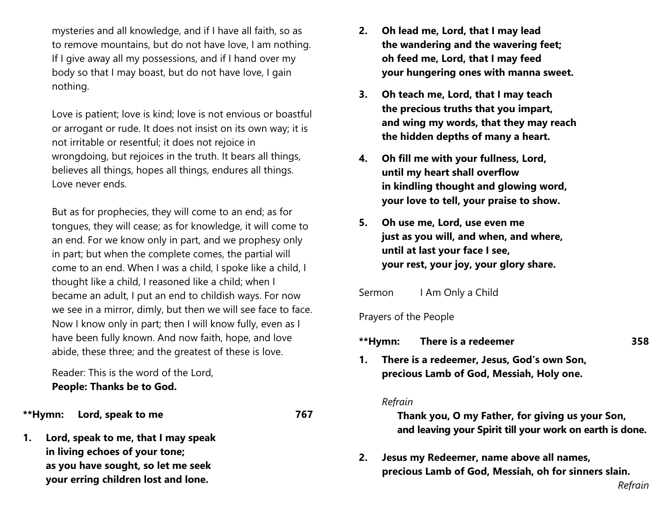mysteries and all knowledge, and if I have all faith, so as to remove mountains, but do not have love, I am nothing. If I give away all my possessions, and if I hand over my body so that I may boast, but do not have love, I gain nothing.

Love is patient; love is kind; love is not envious or boastful or arrogant or rude. It does not insist on its own way; it is not irritable or resentful; it does not rejoice in wrongdoing, but rejoices in the truth. It bears all things, believes all things, hopes all things, endures all things. Love never ends.

But as for prophecies, they will come to an end; as for tongues, they will cease; as for knowledge, it will come to an end. For we know only in part, and we prophesy only in part; but when the complete comes, the partial will come to an end. When I was a child, I spoke like a child, I thought like a child, I reasoned like a child; when I became an adult, I put an end to childish ways. For now we see in a mirror, dimly, but then we will see face to face. Now I know only in part; then I will know fully, even as I have been fully known. And now faith, hope, and love abide, these three; and the greatest of these is love.

Reader: This is the word of the Lord, **People: Thanks be to God.**

**\*\*Hymn: Lord, speak to me 767**

**1. Lord, speak to me, that I may speak in living echoes of your tone; as you have sought, so let me seek your erring children lost and lone.**

- **2. Oh lead me, Lord, that I may lead the wandering and the wavering feet; oh feed me, Lord, that I may feed your hungering ones with manna sweet.**
- **3. Oh teach me, Lord, that I may teach the precious truths that you impart, and wing my words, that they may reach the hidden depths of many a heart.**
- **4. Oh fill me with your fullness, Lord, until my heart shall overflow in kindling thought and glowing word, your love to tell, your praise to show.**
- **5. Oh use me, Lord, use even me just as you will, and when, and where, until at last your face I see, your rest, your joy, your glory share.**

Sermon I Am Only a Child

Prayers of the People

**\*\*Hymn: There is a redeemer 358 1. There is a redeemer, Jesus, God's own Son, precious Lamb of God, Messiah, Holy one.**

#### *Refrain*

**Thank you, O my Father, for giving us your Son, and leaving your Spirit till your work on earth is done.**

**2. Jesus my Redeemer, name above all names, precious Lamb of God, Messiah, oh for sinners slain.**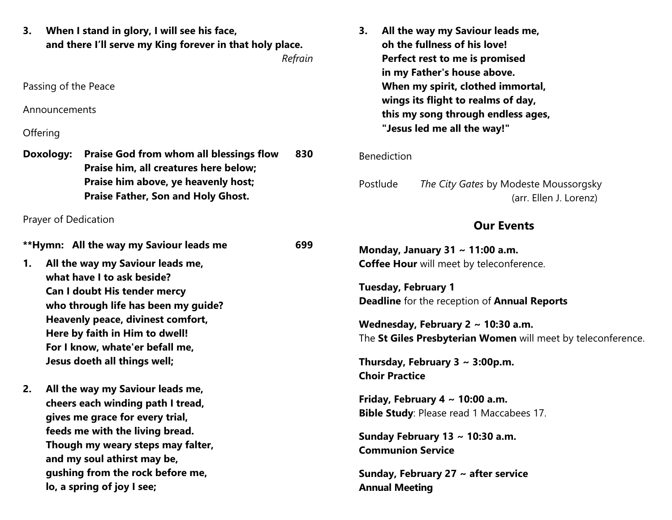|           |                                                                                         | Refrain |                |
|-----------|-----------------------------------------------------------------------------------------|---------|----------------|
|           | Passing of the Peace                                                                    |         |                |
|           | Announcements                                                                           |         |                |
| Offering  |                                                                                         |         |                |
| Doxology: | <b>Praise God from whom all blessings flow</b><br>Praise him, all creatures here below; | 830     | B              |
|           | Praise him above, ye heavenly host;<br>Praise Father, Son and Holy Ghost.               |         | P              |
|           | Prayer of Dedication                                                                    |         |                |
|           | **Hymn: All the way my Saviour leads me                                                 | 699     | N              |
| 1.        | All the way my Saviour leads me,<br>what have I to ask beside?                          |         | C              |
|           | Can I doubt His tender mercy                                                            |         | T              |
|           | who through life has been my guide?                                                     |         | D              |
|           | Heavenly peace, divinest comfort,                                                       |         | V              |
|           | Here by faith in Him to dwell!                                                          |         | T              |
|           | For I know, whate'er befall me,                                                         |         |                |
|           | Jesus doeth all things well;                                                            |         | Т              |
|           |                                                                                         |         | C              |
| 2.        | All the way my Saviour leads me,                                                        |         | F <sub>1</sub> |
|           | cheers each winding path I tread,                                                       |         | B              |
|           | gives me grace for every trial,                                                         |         |                |
|           | feeds me with the living bread.                                                         |         | S              |
|           | Though my weary steps may falter,<br>and my soul athirst may be,                        |         | C              |
|           | gushing from the rock before me,                                                        |         | S              |
|           | lo, a spring of joy I see;                                                              |         | A              |

**3. When I stand in glory, I will see his face,**

**and there I'll serve my King forever in that holy place.**

**3. All the way my Saviour leads me, oh the fullness of his love! Perfect rest to me is promised in my Father's house above. When my spirit, clothed immortal, wings its flight to realms of day, this my song through endless ages, "Jesus led me all the way!"**

#### enediction

ostlude *The City Gates* by Modeste Moussorgsky (arr. Ellen J. Lorenz)

#### **Our Events**

**Monday, January 31 ~ 11:00 a.m. Coffee Hour** will meet by teleconference.

**Tuesday, February 1 Deadline** for the reception of **Annual Reports**

**Wednesday, February 2 ~ 10:30 a.m.**  he St Giles Presbyterian Women will meet by teleconference.

**Thursday, February 3 ~ 3:00p.m. Choir Practice**

**Friday, February 4 ~ 10:00 a.m. Bible Study**: Please read 1 Maccabees 17.

**Sunday February 13 ~ 10:30 a.m. Communion Service**

**Sunday, February 27 ~ after service Annual Meeting**